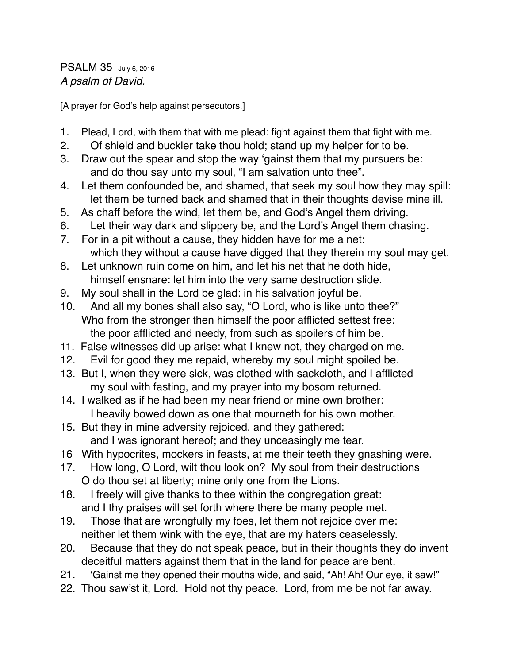PSALM 35 July 6, 2016 *A psalm of David.*

[A prayer for God's help against persecutors.]

- 1. Plead, Lord, with them that with me plead: fight against them that fight with me.
- 2. Of shield and buckler take thou hold; stand up my helper for to be.
- 3. Draw out the spear and stop the way 'gainst them that my pursuers be: and do thou say unto my soul, "I am salvation unto thee".
- 4. Let them confounded be, and shamed, that seek my soul how they may spill: let them be turned back and shamed that in their thoughts devise mine ill.
- 5. As chaff before the wind, let them be, and God's Angel them driving.
- 6. Let their way dark and slippery be, and the Lord's Angel them chasing.
- 7. For in a pit without a cause, they hidden have for me a net: which they without a cause have digged that they therein my soul may get.
- 8. Let unknown ruin come on him, and let his net that he doth hide, himself ensnare: let him into the very same destruction slide.
- 9. My soul shall in the Lord be glad: in his salvation joyful be.
- 10. And all my bones shall also say, "O Lord, who is like unto thee?" Who from the stronger then himself the poor afflicted settest free: the poor afflicted and needy, from such as spoilers of him be.
- 11. False witnesses did up arise: what I knew not, they charged on me.
- 12. Evil for good they me repaid, whereby my soul might spoiled be.
- 13. But I, when they were sick, was clothed with sackcloth, and I afflicted my soul with fasting, and my prayer into my bosom returned.
- 14. I walked as if he had been my near friend or mine own brother: I heavily bowed down as one that mourneth for his own mother.
- 15. But they in mine adversity rejoiced, and they gathered: and I was ignorant hereof; and they unceasingly me tear.
- 16 With hypocrites, mockers in feasts, at me their teeth they gnashing were.
- 17. How long, O Lord, wilt thou look on? My soul from their destructions O do thou set at liberty; mine only one from the Lions.
- 18. I freely will give thanks to thee within the congregation great: and I thy praises will set forth where there be many people met.
- 19. Those that are wrongfully my foes, let them not rejoice over me: neither let them wink with the eye, that are my haters ceaselessly.
- 20. Because that they do not speak peace, but in their thoughts they do invent deceitful matters against them that in the land for peace are bent.
- 21. 'Gainst me they opened their mouths wide, and said, "Ah! Ah! Our eye, it saw!"
- 22. Thou saw'st it, Lord. Hold not thy peace. Lord, from me be not far away.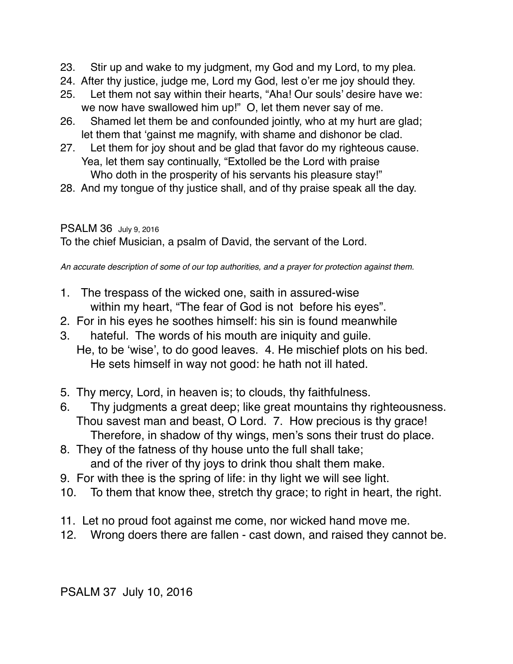- 23. Stir up and wake to my judgment, my God and my Lord, to my plea.
- 24. After thy justice, judge me, Lord my God, lest o'er me joy should they.
- 25. Let them not say within their hearts, "Aha! Our souls' desire have we: we now have swallowed him up!" O, let them never say of me.
- 26. Shamed let them be and confounded jointly, who at my hurt are glad; let them that 'gainst me magnify, with shame and dishonor be clad.
- 27. Let them for joy shout and be glad that favor do my righteous cause. Yea, let them say continually, "Extolled be the Lord with praise Who doth in the prosperity of his servants his pleasure stay!"
- 28. And my tongue of thy justice shall, and of thy praise speak all the day.

#### PSALM 36 July 9, 2016

To the chief Musician, a psalm of David, the servant of the Lord.

*An accurate description of some of our top authorities, and a prayer for protection against them.*

- 1. The trespass of the wicked one, saith in assured-wise within my heart, "The fear of God is not before his eyes".
- 2. For in his eyes he soothes himself: his sin is found meanwhile
- 3. hateful. The words of his mouth are iniquity and guile. He, to be 'wise', to do good leaves. 4. He mischief plots on his bed. He sets himself in way not good: he hath not ill hated.
- 5. Thy mercy, Lord, in heaven is; to clouds, thy faithfulness.
- 6. Thy judgments a great deep; like great mountains thy righteousness. Thou savest man and beast, O Lord. 7. How precious is thy grace! Therefore, in shadow of thy wings, men's sons their trust do place.
- 8. They of the fatness of thy house unto the full shall take; and of the river of thy joys to drink thou shalt them make.
- 9. For with thee is the spring of life: in thy light we will see light.
- 10. To them that know thee, stretch thy grace; to right in heart, the right.
- 11. Let no proud foot against me come, nor wicked hand move me.
- 12. Wrong doers there are fallen cast down, and raised they cannot be.

PSALM 37 July 10, 2016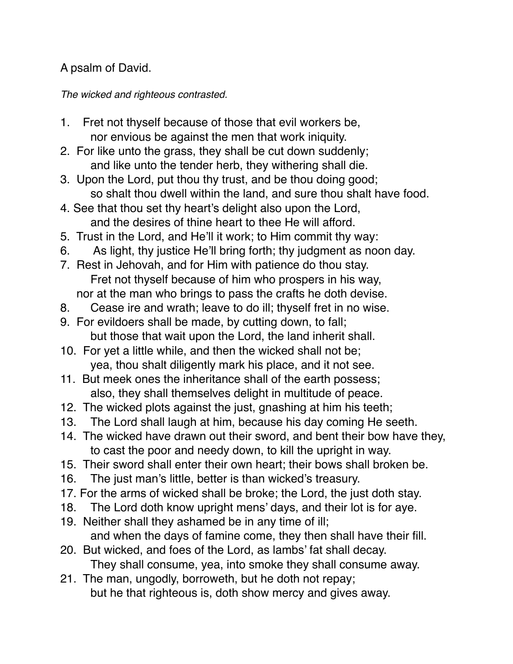## A psalm of David.

#### *The wicked and righteous contrasted.*

- 1. Fret not thyself because of those that evil workers be, nor envious be against the men that work iniquity.
- 2. For like unto the grass, they shall be cut down suddenly; and like unto the tender herb, they withering shall die.
- 3. Upon the Lord, put thou thy trust, and be thou doing good; so shalt thou dwell within the land, and sure thou shalt have food.
- 4. See that thou set thy heart's delight also upon the Lord, and the desires of thine heart to thee He will afford.
- 5. Trust in the Lord, and He'll it work; to Him commit thy way:
- 6. As light, thy justice He'll bring forth; thy judgment as noon day.
- 7. Rest in Jehovah, and for Him with patience do thou stay. Fret not thyself because of him who prospers in his way, nor at the man who brings to pass the crafts he doth devise.
- 8. Cease ire and wrath; leave to do ill; thyself fret in no wise.
- 9. For evildoers shall be made, by cutting down, to fall; but those that wait upon the Lord, the land inherit shall.
- 10. For yet a little while, and then the wicked shall not be; yea, thou shalt diligently mark his place, and it not see.
- 11. But meek ones the inheritance shall of the earth possess; also, they shall themselves delight in multitude of peace.
- 12. The wicked plots against the just, gnashing at him his teeth;
- 13. The Lord shall laugh at him, because his day coming He seeth.
- 14. The wicked have drawn out their sword, and bent their bow have they, to cast the poor and needy down, to kill the upright in way.
- 15. Their sword shall enter their own heart; their bows shall broken be.
- 16. The just man's little, better is than wicked's treasury.
- 17. For the arms of wicked shall be broke; the Lord, the just doth stay.
- 18. The Lord doth know upright mens' days, and their lot is for aye.
- 19. Neither shall they ashamed be in any time of ill; and when the days of famine come, they then shall have their fill.
- 20. But wicked, and foes of the Lord, as lambs' fat shall decay. They shall consume, yea, into smoke they shall consume away.
- 21. The man, ungodly, borroweth, but he doth not repay; but he that righteous is, doth show mercy and gives away.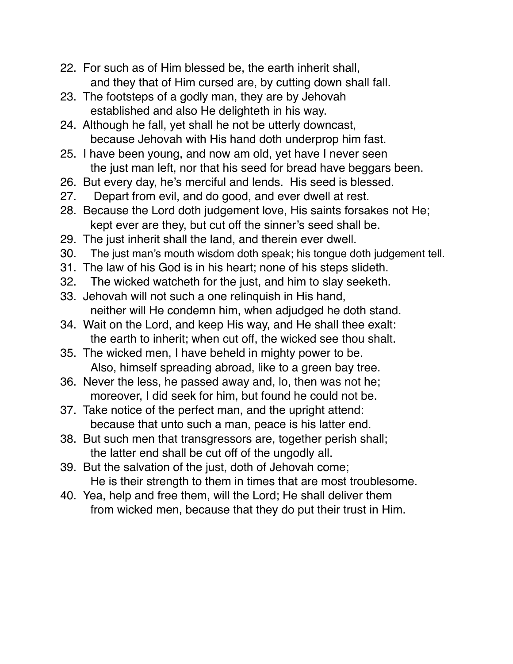- 22. For such as of Him blessed be, the earth inherit shall, and they that of Him cursed are, by cutting down shall fall.
- 23. The footsteps of a godly man, they are by Jehovah established and also He delighteth in his way.
- 24. Although he fall, yet shall he not be utterly downcast, because Jehovah with His hand doth underprop him fast.
- 25. I have been young, and now am old, yet have I never seen the just man left, nor that his seed for bread have beggars been.
- 26. But every day, he's merciful and lends. His seed is blessed.
- 27. Depart from evil, and do good, and ever dwell at rest.
- 28. Because the Lord doth judgement love, His saints forsakes not He; kept ever are they, but cut off the sinner's seed shall be.
- 29. The just inherit shall the land, and therein ever dwell.
- 30. The just man's mouth wisdom doth speak; his tongue doth judgement tell.
- 31. The law of his God is in his heart; none of his steps slideth.
- 32. The wicked watcheth for the just, and him to slay seeketh.
- 33. Jehovah will not such a one relinquish in His hand, neither will He condemn him, when adjudged he doth stand.
- 34. Wait on the Lord, and keep His way, and He shall thee exalt: the earth to inherit; when cut off, the wicked see thou shalt.
- 35. The wicked men, I have beheld in mighty power to be. Also, himself spreading abroad, like to a green bay tree.
- 36. Never the less, he passed away and, lo, then was not he; moreover, I did seek for him, but found he could not be.
- 37. Take notice of the perfect man, and the upright attend: because that unto such a man, peace is his latter end.
- 38. But such men that transgressors are, together perish shall; the latter end shall be cut off of the ungodly all.
- 39. But the salvation of the just, doth of Jehovah come; He is their strength to them in times that are most troublesome.
- 40. Yea, help and free them, will the Lord; He shall deliver them from wicked men, because that they do put their trust in Him.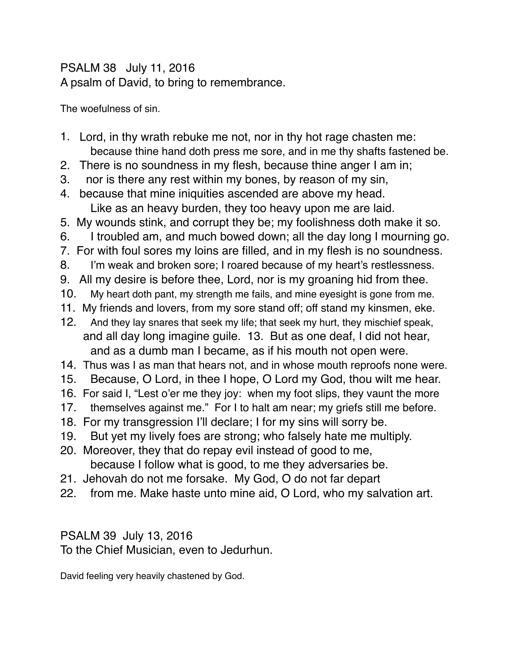#### PSALM 38 July 11, 2016 A psalm of David, to bring to remembrance.

The woefulness of sin.

- 1. Lord, in thy wrath rebuke me not, nor in thy hot rage chasten me: because thine hand doth press me sore, and in me thy shafts fastened be.
- 2. There is no soundness in my flesh, because thine anger I am in;
- 3. nor is there any rest within my bones, by reason of my sin,
- 4. because that mine iniquities ascended are above my head. Like as an heavy burden, they too heavy upon me are laid.
- 5. My wounds stink, and corrupt they be; my foolishness doth make it so.
- 6. I troubled am, and much bowed down; all the day long I mourning go.
- 7. For with foul sores my loins are filled, and in my flesh is no soundness.
- 8. I'm weak and broken sore; I roared because of my heart's restlessness.
- 9. All my desire is before thee, Lord, nor is my groaning hid from thee.
- 10. My heart doth pant, my strength me fails, and mine eyesight is gone from me.
- 11. My friends and lovers, from my sore stand off; off stand my kinsmen, eke.
- 12. And they lay snares that seek my life; that seek my hurt, they mischief speak, and all day long imagine guile. 13. But as one deaf, I did not hear, and as a dumb man I became, as if his mouth not open were.
- 14. Thus was I as man that hears not, and in whose mouth reproofs none were.
- 15. Because, O Lord, in thee I hope, O Lord my God, thou wilt me hear.
- 16. For said I, "Lest o'er me they joy: when my foot slips, they vaunt the more
- 17. themselves against me." For I to halt am near; my griefs still me before.
- 18. For my transgression I'll declare; I for my sins will sorry be.
- 19. But yet my lively foes are strong; who falsely hate me multiply.
- 20. Moreover, they that do repay evil instead of good to me, because I follow what is good, to me they adversaries be.
- 21. Jehovah do not me forsake. My God, O do not far depart
- 22. from me. Make haste unto mine aid, O Lord, who my salvation art.

PSALM 39 July 13, 2016

To the Chief Musician, even to Jedurhun.

David feeling very heavily chastened by God.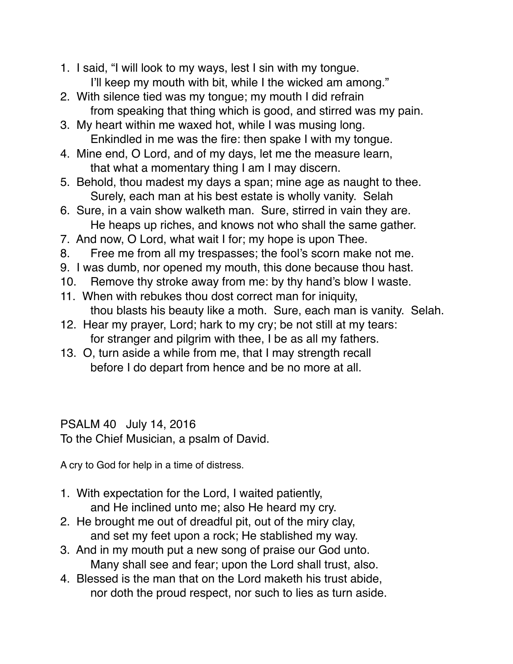- 1. I said, "I will look to my ways, lest I sin with my tongue. I'll keep my mouth with bit, while I the wicked am among."
- 2. With silence tied was my tongue; my mouth I did refrain from speaking that thing which is good, and stirred was my pain.
- 3. My heart within me waxed hot, while I was musing long. Enkindled in me was the fire: then spake I with my tongue.
- 4. Mine end, O Lord, and of my days, let me the measure learn, that what a momentary thing I am I may discern.
- 5. Behold, thou madest my days a span; mine age as naught to thee. Surely, each man at his best estate is wholly vanity. Selah
- 6. Sure, in a vain show walketh man. Sure, stirred in vain they are. He heaps up riches, and knows not who shall the same gather.
- 7. And now, O Lord, what wait I for; my hope is upon Thee.
- 8. Free me from all my trespasses; the fool's scorn make not me.
- 9. I was dumb, nor opened my mouth, this done because thou hast.
- 10. Remove thy stroke away from me: by thy hand's blow I waste.
- 11. When with rebukes thou dost correct man for iniquity, thou blasts his beauty like a moth. Sure, each man is vanity. Selah.
- 12. Hear my prayer, Lord; hark to my cry; be not still at my tears: for stranger and pilgrim with thee, I be as all my fathers.
- 13. O, turn aside a while from me, that I may strength recall before I do depart from hence and be no more at all.

## PSALM 40 July 14, 2016

To the Chief Musician, a psalm of David.

A cry to God for help in a time of distress.

- 1. With expectation for the Lord, I waited patiently, and He inclined unto me; also He heard my cry.
- 2. He brought me out of dreadful pit, out of the miry clay, and set my feet upon a rock; He stablished my way.
- 3. And in my mouth put a new song of praise our God unto. Many shall see and fear; upon the Lord shall trust, also.
- 4. Blessed is the man that on the Lord maketh his trust abide, nor doth the proud respect, nor such to lies as turn aside.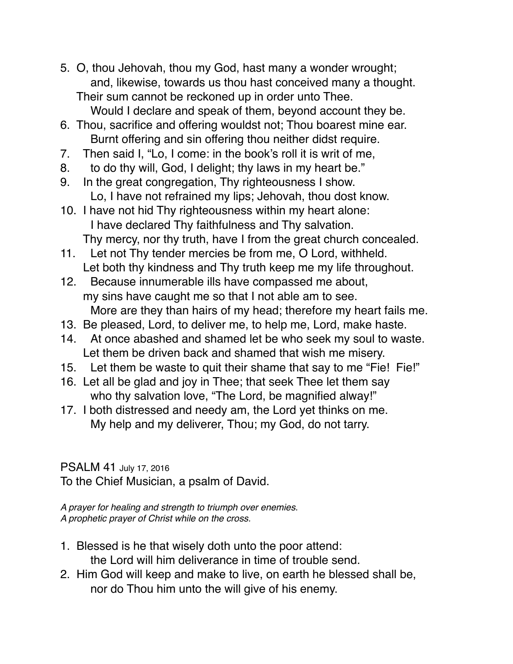- 5. O, thou Jehovah, thou my God, hast many a wonder wrought; and, likewise, towards us thou hast conceived many a thought. Their sum cannot be reckoned up in order unto Thee. Would I declare and speak of them, beyond account they be.
- 6. Thou, sacrifice and offering wouldst not; Thou boarest mine ear. Burnt offering and sin offering thou neither didst require.
- 7. Then said I, "Lo, I come: in the book's roll it is writ of me,
- 8. to do thy will, God, I delight; thy laws in my heart be."
- 9. In the great congregation, Thy righteousness I show. Lo, I have not refrained my lips; Jehovah, thou dost know.
- 10. I have not hid Thy righteousness within my heart alone: I have declared Thy faithfulness and Thy salvation. Thy mercy, nor thy truth, have I from the great church concealed.
- 11. Let not Thy tender mercies be from me, O Lord, withheld. Let both thy kindness and Thy truth keep me my life throughout.
- 12. Because innumerable ills have compassed me about, my sins have caught me so that I not able am to see. More are they than hairs of my head; therefore my heart fails me.
- 13. Be pleased, Lord, to deliver me, to help me, Lord, make haste.
- 14. At once abashed and shamed let be who seek my soul to waste. Let them be driven back and shamed that wish me misery.
- 15. Let them be waste to quit their shame that say to me "Fie! Fie!"
- 16. Let all be glad and joy in Thee; that seek Thee let them say who thy salvation love, "The Lord, be magnified alway!"
- 17. I both distressed and needy am, the Lord yet thinks on me. My help and my deliverer, Thou; my God, do not tarry.

## PSALM 41 July 17, 2016

To the Chief Musician, a psalm of David.

*A prayer for healing and strength to triumph over enemies. A prophetic prayer of Christ while on the cross.*

- 1. Blessed is he that wisely doth unto the poor attend: the Lord will him deliverance in time of trouble send.
- 2. Him God will keep and make to live, on earth he blessed shall be, nor do Thou him unto the will give of his enemy.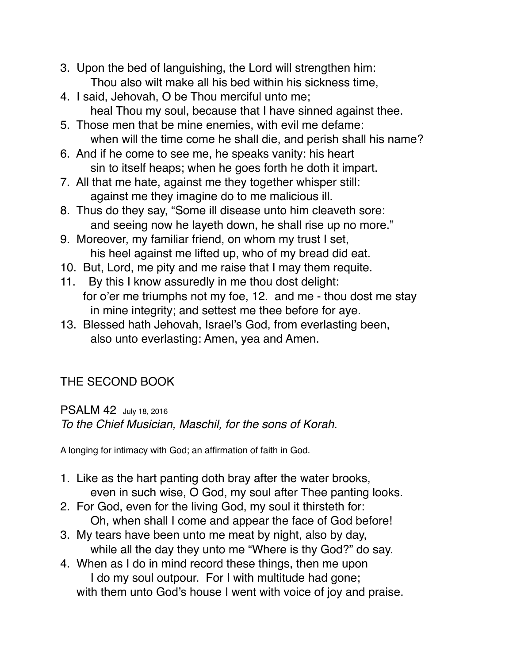- 3. Upon the bed of languishing, the Lord will strengthen him: Thou also wilt make all his bed within his sickness time,
- 4. I said, Jehovah, O be Thou merciful unto me; heal Thou my soul, because that I have sinned against thee.
- 5. Those men that be mine enemies, with evil me defame: when will the time come he shall die, and perish shall his name?
- 6. And if he come to see me, he speaks vanity: his heart sin to itself heaps; when he goes forth he doth it impart.
- 7. All that me hate, against me they together whisper still: against me they imagine do to me malicious ill.
- 8. Thus do they say, "Some ill disease unto him cleaveth sore: and seeing now he layeth down, he shall rise up no more."
- 9. Moreover, my familiar friend, on whom my trust I set, his heel against me lifted up, who of my bread did eat.
- 10. But, Lord, me pity and me raise that I may them requite.
- 11. By this I know assuredly in me thou dost delight: for o'er me triumphs not my foe, 12. and me - thou dost me stay in mine integrity; and settest me thee before for aye.
- 13. Blessed hath Jehovah, Israel's God, from everlasting been, also unto everlasting: Amen, yea and Amen.

# THE SECOND BOOK

PSALM 42 July 18, 2016 *To the Chief Musician, Maschil, for the sons of Korah.*

A longing for intimacy with God; an affirmation of faith in God.

- 1. Like as the hart panting doth bray after the water brooks, even in such wise, O God, my soul after Thee panting looks.
- 2. For God, even for the living God, my soul it thirsteth for: Oh, when shall I come and appear the face of God before!
- 3. My tears have been unto me meat by night, also by day, while all the day they unto me "Where is thy God?" do say.
- 4. When as I do in mind record these things, then me upon I do my soul outpour. For I with multitude had gone; with them unto God's house I went with voice of joy and praise.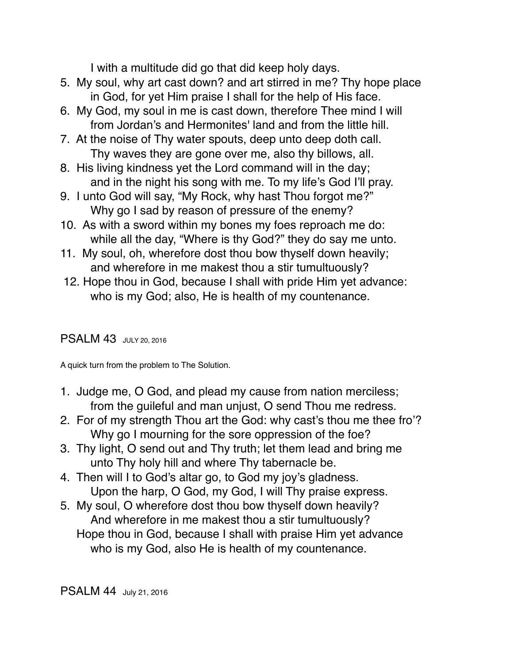I with a multitude did go that did keep holy days.

- 5. My soul, why art cast down? and art stirred in me? Thy hope place in God, for yet Him praise I shall for the help of His face.
- 6. My God, my soul in me is cast down, therefore Thee mind I will from Jordan's and Hermonites' land and from the little hill.
- 7. At the noise of Thy water spouts, deep unto deep doth call. Thy waves they are gone over me, also thy billows, all.
- 8. His living kindness yet the Lord command will in the day; and in the night his song with me. To my life's God I'll pray.
- 9. I unto God will say, "My Rock, why hast Thou forgot me?" Why go I sad by reason of pressure of the enemy?
- 10. As with a sword within my bones my foes reproach me do: while all the day, "Where is thy God?" they do say me unto.
- 11. My soul, oh, wherefore dost thou bow thyself down heavily; and wherefore in me makest thou a stir tumultuously?
- 12. Hope thou in God, because I shall with pride Him yet advance: who is my God; also, He is health of my countenance.

#### PSALM 43 JULY 20, 2016

A quick turn from the problem to The Solution.

- 1. Judge me, O God, and plead my cause from nation merciless; from the guileful and man unjust, O send Thou me redress.
- 2. For of my strength Thou art the God: why cast's thou me thee fro'? Why go I mourning for the sore oppression of the foe?
- 3. Thy light, O send out and Thy truth; let them lead and bring me unto Thy holy hill and where Thy tabernacle be.
- 4. Then will I to God's altar go, to God my joy's gladness. Upon the harp, O God, my God, I will Thy praise express.
- 5. My soul, O wherefore dost thou bow thyself down heavily? And wherefore in me makest thou a stir tumultuously? Hope thou in God, because I shall with praise Him yet advance who is my God, also He is health of my countenance.

PSALM 44 July 21, 2016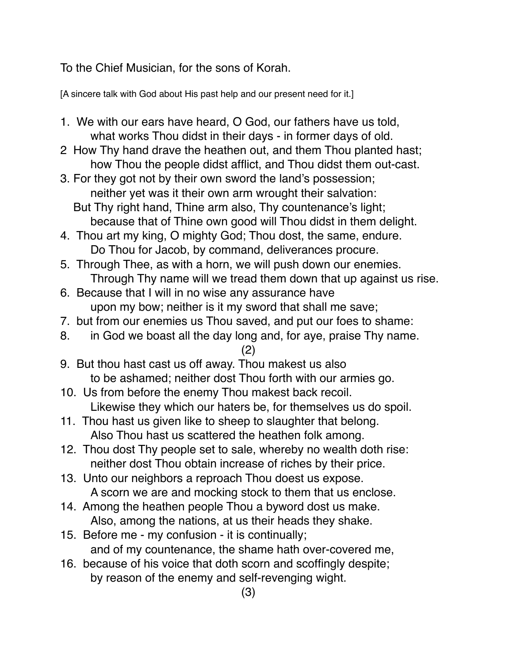To the Chief Musician, for the sons of Korah.

[A sincere talk with God about His past help and our present need for it.]

- 1. We with our ears have heard, O God, our fathers have us told, what works Thou didst in their days - in former days of old.
- 2 How Thy hand drave the heathen out, and them Thou planted hast; how Thou the people didst afflict, and Thou didst them out-cast.
- 3. For they got not by their own sword the land's possession; neither yet was it their own arm wrought their salvation:
	- But Thy right hand, Thine arm also, Thy countenance's light; because that of Thine own good will Thou didst in them delight.
- 4. Thou art my king, O mighty God; Thou dost, the same, endure. Do Thou for Jacob, by command, deliverances procure.
- 5. Through Thee, as with a horn, we will push down our enemies. Through Thy name will we tread them down that up against us rise.
- 6. Because that I will in no wise any assurance have upon my bow; neither is it my sword that shall me save;
- 7. but from our enemies us Thou saved, and put our foes to shame:
- 8. in God we boast all the day long and, for aye, praise Thy name.

#### (2)

- 9. But thou hast cast us off away. Thou makest us also to be ashamed; neither dost Thou forth with our armies go.
- 10. Us from before the enemy Thou makest back recoil. Likewise they which our haters be, for themselves us do spoil.
- 11. Thou hast us given like to sheep to slaughter that belong. Also Thou hast us scattered the heathen folk among.
- 12. Thou dost Thy people set to sale, whereby no wealth doth rise: neither dost Thou obtain increase of riches by their price.
- 13. Unto our neighbors a reproach Thou doest us expose. A scorn we are and mocking stock to them that us enclose.
- 14. Among the heathen people Thou a byword dost us make. Also, among the nations, at us their heads they shake.
- 15. Before me my confusion it is continually; and of my countenance, the shame hath over-covered me,
- 16. because of his voice that doth scorn and scoffingly despite; by reason of the enemy and self-revenging wight.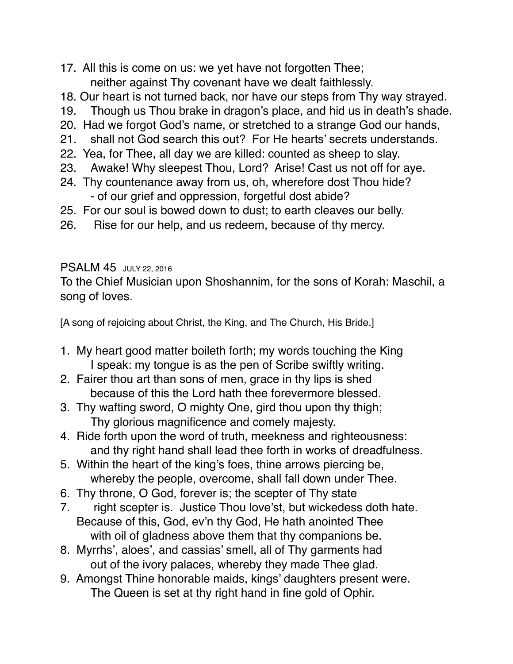- 17. All this is come on us: we yet have not forgotten Thee; neither against Thy covenant have we dealt faithlessly.
- 18. Our heart is not turned back, nor have our steps from Thy way strayed.
- 19. Though us Thou brake in dragon's place, and hid us in death's shade.
- 20. Had we forgot God's name, or stretched to a strange God our hands,
- 21. shall not God search this out? For He hearts' secrets understands.
- 22. Yea, for Thee, all day we are killed: counted as sheep to slay.
- 23. Awake! Why sleepest Thou, Lord? Arise! Cast us not off for aye.
- 24. Thy countenance away from us, oh, wherefore dost Thou hide? - of our grief and oppression, forgetful dost abide?
- 25. For our soul is bowed down to dust; to earth cleaves our belly.
- 26. Rise for our help, and us redeem, because of thy mercy.

#### PSALM 45 JULY 22, 2016

To the Chief Musician upon Shoshannim, for the sons of Korah: Maschil, a song of loves.

[A song of rejoicing about Christ, the King, and The Church, His Bride.]

- 1. My heart good matter boileth forth; my words touching the King I speak: my tongue is as the pen of Scribe swiftly writing.
- 2. Fairer thou art than sons of men, grace in thy lips is shed because of this the Lord hath thee forevermore blessed.
- 3. Thy wafting sword, O mighty One, gird thou upon thy thigh; Thy glorious magnificence and comely majesty.
- 4. Ride forth upon the word of truth, meekness and righteousness: and thy right hand shall lead thee forth in works of dreadfulness.
- 5. Within the heart of the king's foes, thine arrows piercing be, whereby the people, overcome, shall fall down under Thee.
- 6. Thy throne, O God, forever is; the scepter of Thy state
- 7. right scepter is. Justice Thou love'st, but wickedess doth hate. Because of this, God, ev'n thy God, He hath anointed Thee with oil of gladness above them that thy companions be.
- 8. Myrrhs', aloes', and cassias' smell, all of Thy garments had out of the ivory palaces, whereby they made Thee glad.
- 9. Amongst Thine honorable maids, kings' daughters present were. The Queen is set at thy right hand in fine gold of Ophir.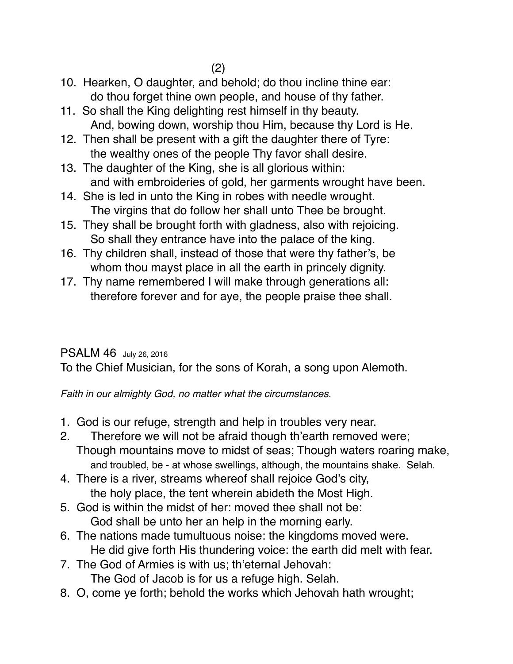- 10. Hearken, O daughter, and behold; do thou incline thine ear: do thou forget thine own people, and house of thy father.
- 11. So shall the King delighting rest himself in thy beauty. And, bowing down, worship thou Him, because thy Lord is He.
- 12. Then shall be present with a gift the daughter there of Tyre: the wealthy ones of the people Thy favor shall desire.
- 13. The daughter of the King, she is all glorious within: and with embroideries of gold, her garments wrought have been.
- 14. She is led in unto the King in robes with needle wrought. The virgins that do follow her shall unto Thee be brought.
- 15. They shall be brought forth with gladness, also with rejoicing. So shall they entrance have into the palace of the king.
- 16. Thy children shall, instead of those that were thy father's, be whom thou mayst place in all the earth in princely dignity.
- 17. Thy name remembered I will make through generations all: therefore forever and for aye, the people praise thee shall.

## PSALM 46 July 26, 2016

To the Chief Musician, for the sons of Korah, a song upon Alemoth.

*Faith in our almighty God, no matter what the circumstances.*

- 1. God is our refuge, strength and help in troubles very near.
- 2. Therefore we will not be afraid though th'earth removed were; Though mountains move to midst of seas; Though waters roaring make, and troubled, be - at whose swellings, although, the mountains shake. Selah.
- 4. There is a river, streams whereof shall rejoice God's city, the holy place, the tent wherein abideth the Most High.
- 5. God is within the midst of her: moved thee shall not be: God shall be unto her an help in the morning early.
- 6. The nations made tumultuous noise: the kingdoms moved were. He did give forth His thundering voice: the earth did melt with fear.
- 7. The God of Armies is with us; th'eternal Jehovah:
	- The God of Jacob is for us a refuge high. Selah.
- 8. O, come ye forth; behold the works which Jehovah hath wrought;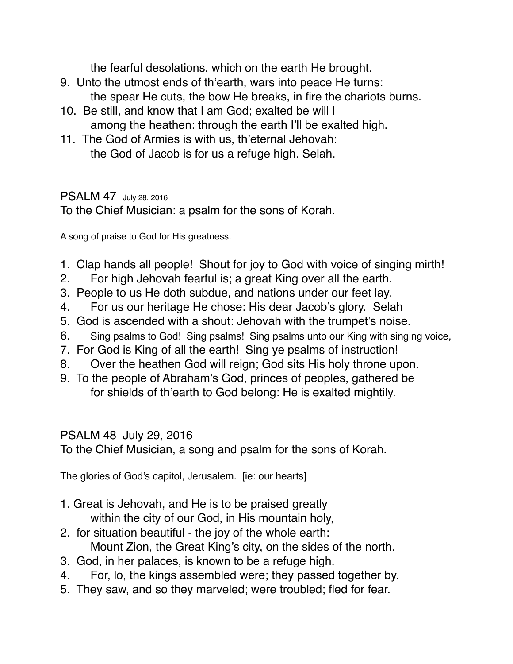the fearful desolations, which on the earth He brought.

- 9. Unto the utmost ends of th'earth, wars into peace He turns: the spear He cuts, the bow He breaks, in fire the chariots burns.
- 10. Be still, and know that I am God; exalted be will I among the heathen: through the earth I'll be exalted high.
- 11. The God of Armies is with us, th'eternal Jehovah: the God of Jacob is for us a refuge high. Selah.

#### PSALM 47 July 28, 2016

To the Chief Musician: a psalm for the sons of Korah.

A song of praise to God for His greatness.

- 1. Clap hands all people! Shout for joy to God with voice of singing mirth!
- 2. For high Jehovah fearful is; a great King over all the earth.
- 3. People to us He doth subdue, and nations under our feet lay.
- 4. For us our heritage He chose: His dear Jacob's glory. Selah
- 5. God is ascended with a shout: Jehovah with the trumpet's noise.
- 6. Sing psalms to God! Sing psalms! Sing psalms unto our King with singing voice,
- 7. For God is King of all the earth! Sing ye psalms of instruction!
- 8. Over the heathen God will reign; God sits His holy throne upon.
- 9. To the people of Abraham's God, princes of peoples, gathered be for shields of th'earth to God belong: He is exalted mightily.

#### PSALM 48 July 29, 2016

To the Chief Musician, a song and psalm for the sons of Korah.

The glories of God's capitol, Jerusalem. [ie: our hearts]

- 1. Great is Jehovah, and He is to be praised greatly within the city of our God, in His mountain holy,
- 2. for situation beautiful the joy of the whole earth: Mount Zion, the Great King's city, on the sides of the north.
- 3. God, in her palaces, is known to be a refuge high.
- 4. For, lo, the kings assembled were; they passed together by.
- 5. They saw, and so they marveled; were troubled; fled for fear.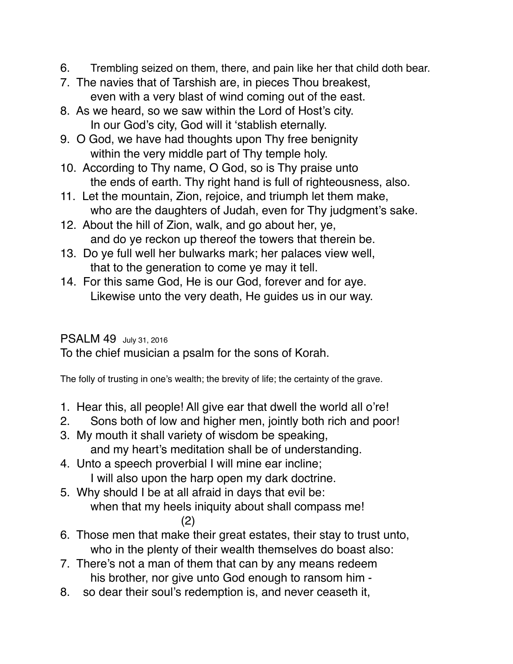- 6. Trembling seized on them, there, and pain like her that child doth bear.
- 7. The navies that of Tarshish are, in pieces Thou breakest, even with a very blast of wind coming out of the east.
- 8. As we heard, so we saw within the Lord of Host's city. In our God's city, God will it 'stablish eternally.
- 9. O God, we have had thoughts upon Thy free benignity within the very middle part of Thy temple holy.
- 10. According to Thy name, O God, so is Thy praise unto the ends of earth. Thy right hand is full of righteousness, also.
- 11. Let the mountain, Zion, rejoice, and triumph let them make, who are the daughters of Judah, even for Thy judgment's sake.
- 12. About the hill of Zion, walk, and go about her, ye, and do ye reckon up thereof the towers that therein be.
- 13. Do ye full well her bulwarks mark; her palaces view well, that to the generation to come ye may it tell.
- 14. For this same God, He is our God, forever and for aye. Likewise unto the very death, He guides us in our way.

### PSALM 49 July 31, 2016

To the chief musician a psalm for the sons of Korah.

The folly of trusting in one's wealth; the brevity of life; the certainty of the grave.

- 1. Hear this, all people! All give ear that dwell the world all o're!
- 2. Sons both of low and higher men, jointly both rich and poor!
- 3. My mouth it shall variety of wisdom be speaking, and my heart's meditation shall be of understanding.
- 4. Unto a speech proverbial I will mine ear incline; I will also upon the harp open my dark doctrine.
- 5. Why should I be at all afraid in days that evil be: when that my heels iniquity about shall compass me!
	- (2)
- 6. Those men that make their great estates, their stay to trust unto, who in the plenty of their wealth themselves do boast also:
- 7. There's not a man of them that can by any means redeem his brother, nor give unto God enough to ransom him -
- 8. so dear their soul's redemption is, and never ceaseth it,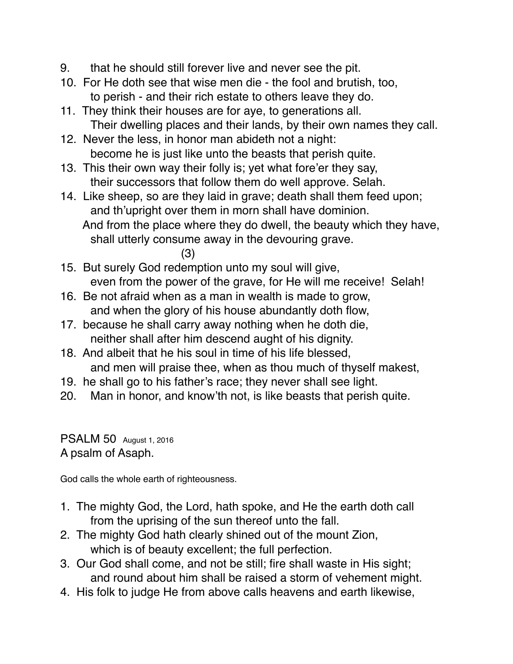- 9. that he should still forever live and never see the pit.
- 10. For He doth see that wise men die the fool and brutish, too, to perish - and their rich estate to others leave they do.
- 11. They think their houses are for aye, to generations all. Their dwelling places and their lands, by their own names they call.
- 12. Never the less, in honor man abideth not a night: become he is just like unto the beasts that perish quite.
- 13. This their own way their folly is; yet what fore'er they say, their successors that follow them do well approve. Selah.
- 14. Like sheep, so are they laid in grave; death shall them feed upon; and th'upright over them in morn shall have dominion. And from the place where they do dwell, the beauty which they have, shall utterly consume away in the devouring grave. (3)
- 15. But surely God redemption unto my soul will give, even from the power of the grave, for He will me receive! Selah!
- 16. Be not afraid when as a man in wealth is made to grow, and when the glory of his house abundantly doth flow,
- 17. because he shall carry away nothing when he doth die, neither shall after him descend aught of his dignity.
- 18. And albeit that he his soul in time of his life blessed, and men will praise thee, when as thou much of thyself makest,
- 19. he shall go to his father's race; they never shall see light.
- 20. Man in honor, and know'th not, is like beasts that perish quite.

PSALM 50 August 1, 2016 A psalm of Asaph.

God calls the whole earth of righteousness.

- 1. The mighty God, the Lord, hath spoke, and He the earth doth call from the uprising of the sun thereof unto the fall.
- 2. The mighty God hath clearly shined out of the mount Zion, which is of beauty excellent; the full perfection.
- 3. Our God shall come, and not be still; fire shall waste in His sight; and round about him shall be raised a storm of vehement might.
- 4. His folk to judge He from above calls heavens and earth likewise,